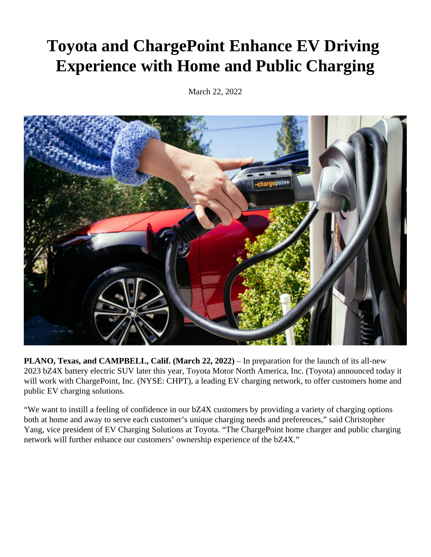## **Toyota and ChargePoint Enhance EV Driving Experience with Home and Public Charging**

March 22, 2022



**PLANO, Texas, and CAMPBELL, Calif. (March 22, 2022)** – In preparation for the launch of its all-new 2023 bZ4X battery electric SUV later this year, Toyota Motor North America, Inc. (Toyota) announced today it will work with ChargePoint, Inc. (NYSE: CHPT), a leading EV charging network, to offer customers home and public EV charging solutions.

"We want to instill a feeling of confidence in our bZ4X customers by providing a variety of charging options both at home and away to serve each customer's unique charging needs and preferences," said Christopher Yang, vice president of EV Charging Solutions at Toyota. "The ChargePoint home charger and public charging network will further enhance our customers' ownership experience of the bZ4X."